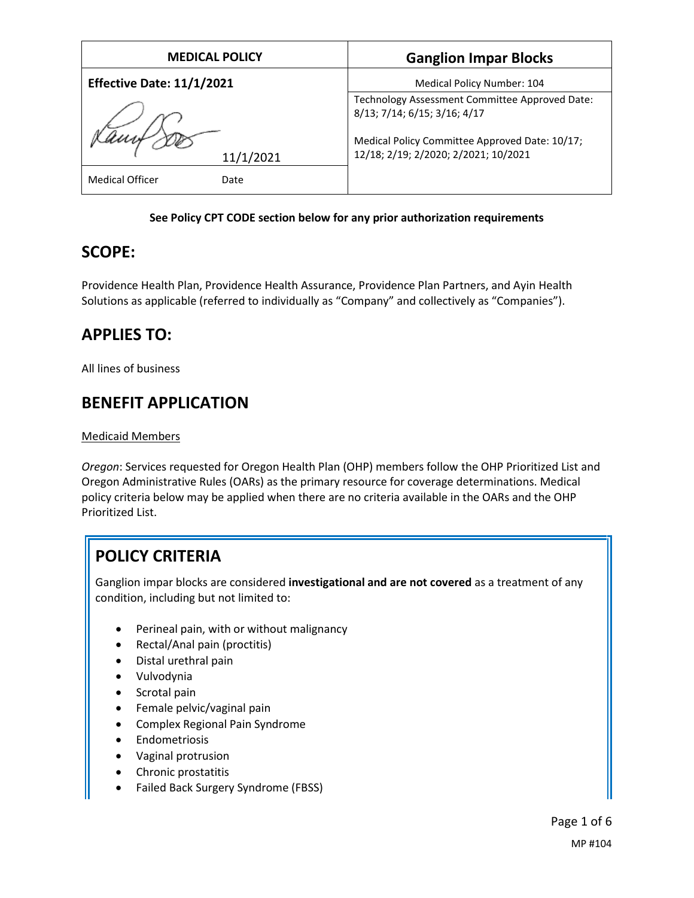| <b>MEDICAL POLICY</b>            | <b>Ganglion Impar Blocks</b>                                                                                                                                             |
|----------------------------------|--------------------------------------------------------------------------------------------------------------------------------------------------------------------------|
| <b>Effective Date: 11/1/2021</b> | Medical Policy Number: 104                                                                                                                                               |
| 11/1/2021                        | Technology Assessment Committee Approved Date:<br>8/13; 7/14; 6/15; 3/16; 4/17<br>Medical Policy Committee Approved Date: 10/17;<br>12/18; 2/19; 2/2020; 2/2021; 10/2021 |
| <b>Medical Officer</b><br>Date   |                                                                                                                                                                          |

### **See Policy CPT CODE section below for any prior authorization requirements**

## **SCOPE:**

Providence Health Plan, Providence Health Assurance, Providence Plan Partners, and Ayin Health Solutions as applicable (referred to individually as "Company" and collectively as "Companies").

# **APPLIES TO:**

All lines of business

# **BENEFIT APPLICATION**

### Medicaid Members

*Oregon*: Services requested for Oregon Health Plan (OHP) members follow the OHP Prioritized List and Oregon Administrative Rules (OARs) as the primary resource for coverage determinations. Medical policy criteria below may be applied when there are no criteria available in the OARs and the OHP Prioritized List.

# **POLICY CRITERIA**

Ganglion impar blocks are considered **investigational and are not covered** as a treatment of any condition, including but not limited to:

- Perineal pain, with or without malignancy
- Rectal/Anal pain (proctitis)
- Distal urethral pain
- Vulvodynia
- Scrotal pain
- Female pelvic/vaginal pain
- Complex Regional Pain Syndrome
- **•** Endometriosis
- Vaginal protrusion
- Chronic prostatitis
- Failed Back Surgery Syndrome (FBSS)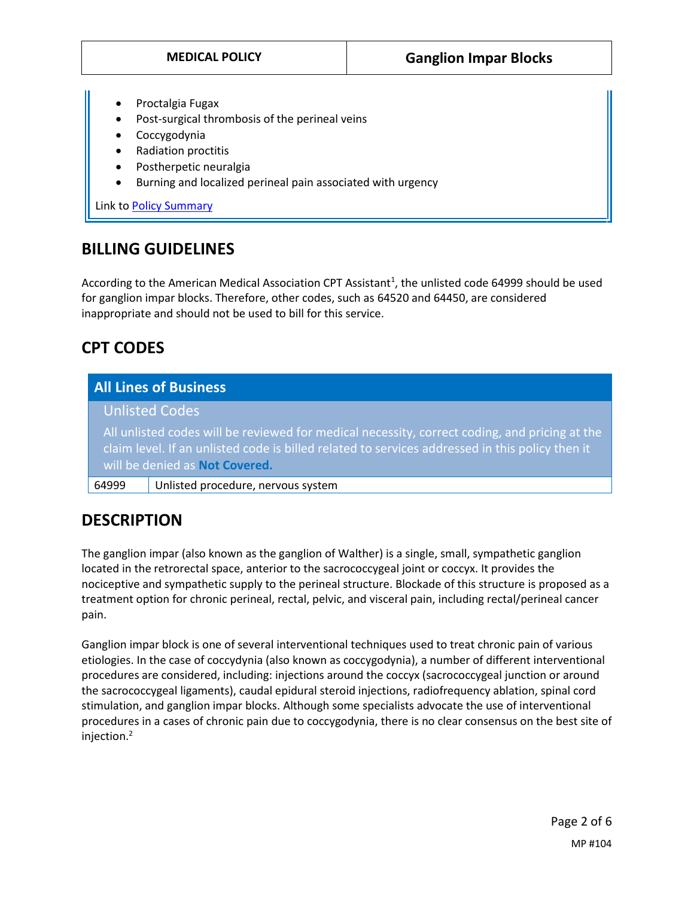- Proctalgia Fugax
- Post-surgical thrombosis of the perineal veins
- Coccygodynia
- Radiation proctitis
- Postherpetic neuralgia
- Burning and localized perineal pain associated with urgency

Link t[o Policy Summary](#page-4-0)

## **BILLING GUIDELINES**

According to the American Medical Association CPT Assistant<sup>1</sup>, the unlisted code 64999 should be used for ganglion impar blocks. Therefore, other codes, such as 64520 and 64450, are considered inappropriate and should not be used to bill for this service.

## **CPT CODES**

## **All Lines of Business**

Unlisted Codes

All unlisted codes will be reviewed for medical necessity, correct coding, and pricing at the claim level. If an unlisted code is billed related to services addressed in this policy then it will be denied as **Not Covered.**

64999 Unlisted procedure, nervous system

# **DESCRIPTION**

The ganglion impar (also known as the ganglion of Walther) is a single, small, sympathetic ganglion located in the retrorectal space, anterior to the sacrococcygeal joint or coccyx. It provides the nociceptive and sympathetic supply to the perineal structure. Blockade of this structure is proposed as a treatment option for chronic perineal, rectal, pelvic, and visceral pain, including rectal/perineal cancer pain.

Ganglion impar block is one of several interventional techniques used to treat chronic pain of various etiologies. In the case of coccydynia (also known as coccygodynia), a number of different interventional procedures are considered, including: injections around the coccyx (sacrococcygeal junction or around the sacrococcygeal ligaments), caudal epidural steroid injections, radiofrequency ablation, spinal cord stimulation, and ganglion impar blocks. Although some specialists advocate the use of interventional procedures in a cases of chronic pain due to coccygodynia, there is no clear consensus on the best site of injection.2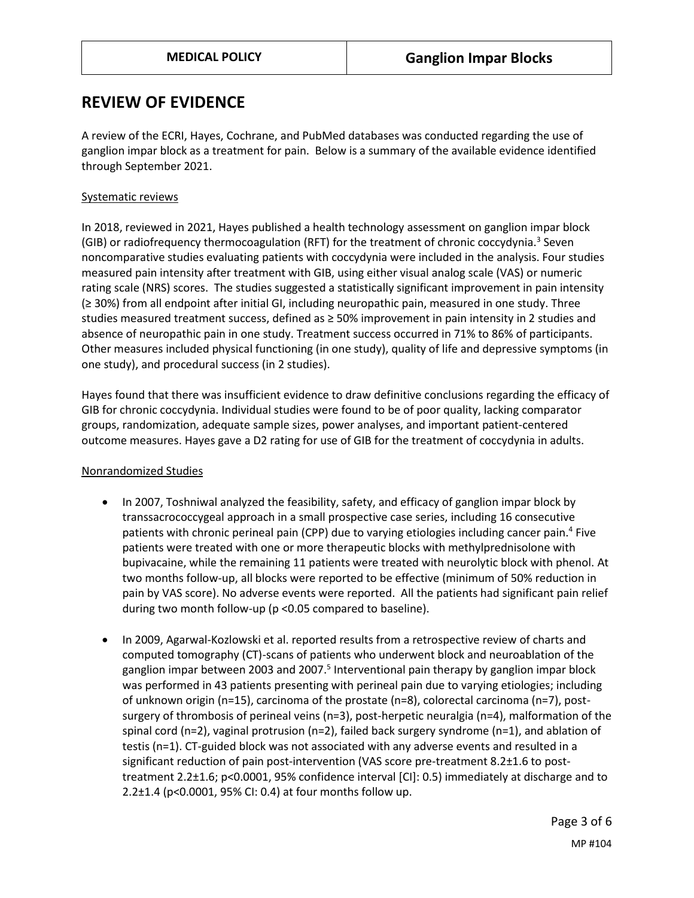## **REVIEW OF EVIDENCE**

A review of the ECRI, Hayes, Cochrane, and PubMed databases was conducted regarding the use of ganglion impar block as a treatment for pain. Below is a summary of the available evidence identified through September 2021.

#### Systematic reviews

In 2018, reviewed in 2021, Hayes published a health technology assessment on ganglion impar block (GIB) or radiofrequency thermocoagulation (RFT) for the treatment of chronic coccydynia.<sup>3</sup> Seven noncomparative studies evaluating patients with coccydynia were included in the analysis. Four studies measured pain intensity after treatment with GIB, using either visual analog scale (VAS) or numeric rating scale (NRS) scores. The studies suggested a statistically significant improvement in pain intensity (≥ 30%) from all endpoint after initial GI, including neuropathic pain, measured in one study. Three studies measured treatment success, defined as ≥ 50% improvement in pain intensity in 2 studies and absence of neuropathic pain in one study. Treatment success occurred in 71% to 86% of participants. Other measures included physical functioning (in one study), quality of life and depressive symptoms (in one study), and procedural success (in 2 studies).

Hayes found that there was insufficient evidence to draw definitive conclusions regarding the efficacy of GIB for chronic coccydynia. Individual studies were found to be of poor quality, lacking comparator groups, randomization, adequate sample sizes, power analyses, and important patient-centered outcome measures. Hayes gave a D2 rating for use of GIB for the treatment of coccydynia in adults.

#### Nonrandomized Studies

- In 2007, Toshniwal analyzed the feasibility, safety, and efficacy of ganglion impar block by transsacrococcygeal approach in a small prospective case series, including 16 consecutive patients with chronic perineal pain (CPP) due to varying etiologies including cancer pain.<sup>4</sup> Five patients were treated with one or more therapeutic blocks with methylprednisolone with bupivacaine, while the remaining 11 patients were treated with neurolytic block with phenol. At two months follow-up, all blocks were reported to be effective (minimum of 50% reduction in pain by VAS score). No adverse events were reported. All the patients had significant pain relief during two month follow-up (p <0.05 compared to baseline).
- In 2009, Agarwal-Kozlowski et al. reported results from a retrospective review of charts and computed tomography (CT)-scans of patients who underwent block and neuroablation of the ganglion impar between 2003 and 2007.<sup>5</sup> Interventional pain therapy by ganglion impar block was performed in 43 patients presenting with perineal pain due to varying etiologies; including of unknown origin (n=15), carcinoma of the prostate (n=8), colorectal carcinoma (n=7), postsurgery of thrombosis of perineal veins (n=3), post-herpetic neuralgia (n=4), malformation of the spinal cord (n=2), vaginal protrusion (n=2), failed back surgery syndrome (n=1), and ablation of testis (n=1). CT-guided block was not associated with any adverse events and resulted in a significant reduction of pain post-intervention (VAS score pre-treatment 8.2±1.6 to posttreatment 2.2±1.6; p<0.0001, 95% confidence interval [CI]: 0.5) immediately at discharge and to 2.2±1.4 (p<0.0001, 95% CI: 0.4) at four months follow up.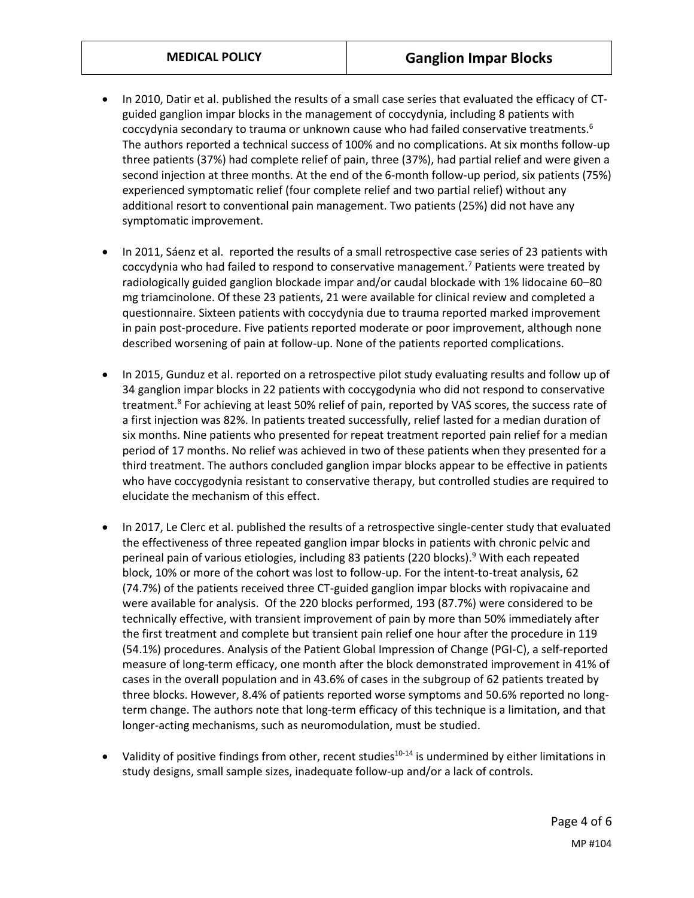- In 2010, Datir et al. published the results of a small case series that evaluated the efficacy of CTguided ganglion impar blocks in the management of coccydynia, including 8 patients with coccydynia secondary to trauma or unknown cause who had failed conservative treatments.<sup>6</sup> The authors reported a technical success of 100% and no complications. At six months follow-up three patients (37%) had complete relief of pain, three (37%), had partial relief and were given a second injection at three months. At the end of the 6-month follow-up period, six patients (75%) experienced symptomatic relief (four complete relief and two partial relief) without any additional resort to conventional pain management. Two patients (25%) did not have any symptomatic improvement.
- In 2011, Sáenz et al. reported the results of a small retrospective case series of 23 patients with coccydynia who had failed to respond to conservative management.<sup>7</sup> Patients were treated by radiologically guided ganglion blockade impar and/or caudal blockade with 1% lidocaine 60–80 mg triamcinolone. Of these 23 patients, 21 were available for clinical review and completed a questionnaire. Sixteen patients with coccydynia due to trauma reported marked improvement in pain post-procedure. Five patients reported moderate or poor improvement, although none described worsening of pain at follow-up. None of the patients reported complications.
- In 2015, Gunduz et al. reported on a retrospective pilot study evaluating results and follow up of 34 ganglion impar blocks in 22 patients with coccygodynia who did not respond to conservative treatment. 8 For achieving at least 50% relief of pain, reported by VAS scores, the success rate of a first injection was 82%. In patients treated successfully, relief lasted for a median duration of six months. Nine patients who presented for repeat treatment reported pain relief for a median period of 17 months. No relief was achieved in two of these patients when they presented for a third treatment. The authors concluded ganglion impar blocks appear to be effective in patients who have coccygodynia resistant to conservative therapy, but controlled studies are required to elucidate the mechanism of this effect.
- In 2017, Le Clerc et al. published the results of a retrospective single-center study that evaluated the effectiveness of three repeated ganglion impar blocks in patients with chronic pelvic and perineal pain of various etiologies, including 83 patients (220 blocks).<sup>9</sup> With each repeated block, 10% or more of the cohort was lost to follow-up. For the intent-to-treat analysis, 62 (74.7%) of the patients received three CT-guided ganglion impar blocks with ropivacaine and were available for analysis. Of the 220 blocks performed, 193 (87.7%) were considered to be technically effective, with transient improvement of pain by more than 50% immediately after the first treatment and complete but transient pain relief one hour after the procedure in 119 (54.1%) procedures. Analysis of the Patient Global Impression of Change (PGI-C), a self-reported measure of long-term efficacy, one month after the block demonstrated improvement in 41% of cases in the overall population and in 43.6% of cases in the subgroup of 62 patients treated by three blocks. However, 8.4% of patients reported worse symptoms and 50.6% reported no longterm change. The authors note that long-term efficacy of this technique is a limitation, and that longer-acting mechanisms, such as neuromodulation, must be studied.
- Validity of positive findings from other, recent studies<sup>10-14</sup> is undermined by either limitations in study designs, small sample sizes, inadequate follow-up and/or a lack of controls.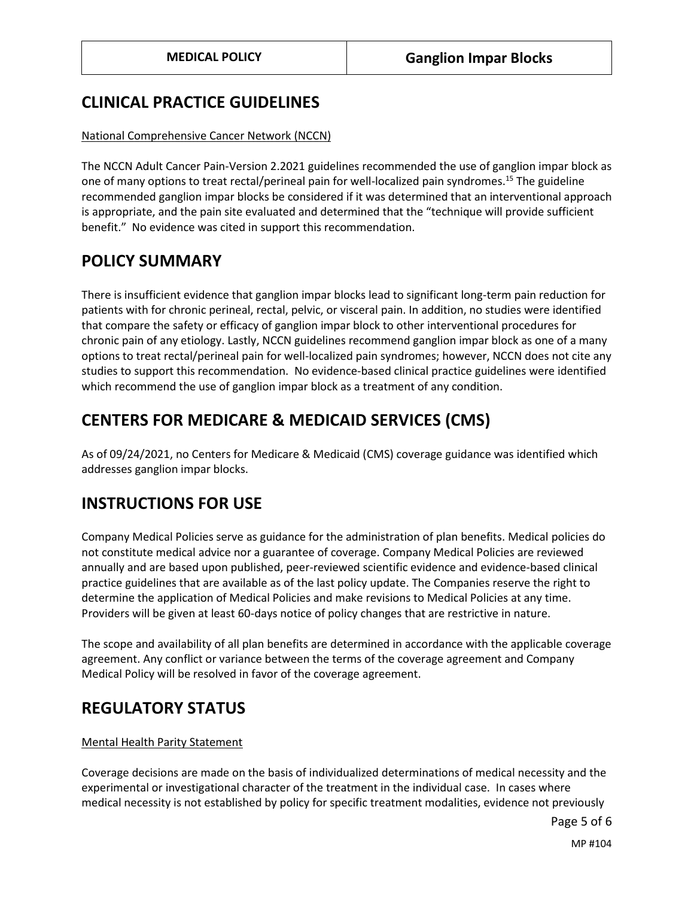## **CLINICAL PRACTICE GUIDELINES**

#### National Comprehensive Cancer Network (NCCN)

The NCCN Adult Cancer Pain-Version 2.2021 guidelines recommended the use of ganglion impar block as one of many options to treat rectal/perineal pain for well-localized pain syndromes.<sup>15</sup> The guideline recommended ganglion impar blocks be considered if it was determined that an interventional approach is appropriate, and the pain site evaluated and determined that the "technique will provide sufficient benefit." No evidence was cited in support this recommendation.

## <span id="page-4-0"></span>**POLICY SUMMARY**

There is insufficient evidence that ganglion impar blocks lead to significant long-term pain reduction for patients with for chronic perineal, rectal, pelvic, or visceral pain. In addition, no studies were identified that compare the safety or efficacy of ganglion impar block to other interventional procedures for chronic pain of any etiology. Lastly, NCCN guidelines recommend ganglion impar block as one of a many options to treat rectal/perineal pain for well-localized pain syndromes; however, NCCN does not cite any studies to support this recommendation. No evidence-based clinical practice guidelines were identified which recommend the use of ganglion impar block as a treatment of any condition.

## **CENTERS FOR MEDICARE & MEDICAID SERVICES (CMS)**

As of 09/24/2021, no Centers for Medicare & Medicaid (CMS) coverage guidance was identified which addresses ganglion impar blocks.

## **INSTRUCTIONS FOR USE**

Company Medical Policies serve as guidance for the administration of plan benefits. Medical policies do not constitute medical advice nor a guarantee of coverage. Company Medical Policies are reviewed annually and are based upon published, peer-reviewed scientific evidence and evidence-based clinical practice guidelines that are available as of the last policy update. The Companies reserve the right to determine the application of Medical Policies and make revisions to Medical Policies at any time. Providers will be given at least 60-days notice of policy changes that are restrictive in nature.

The scope and availability of all plan benefits are determined in accordance with the applicable coverage agreement. Any conflict or variance between the terms of the coverage agreement and Company Medical Policy will be resolved in favor of the coverage agreement.

## **REGULATORY STATUS**

#### Mental Health Parity Statement

Coverage decisions are made on the basis of individualized determinations of medical necessity and the experimental or investigational character of the treatment in the individual case. In cases where medical necessity is not established by policy for specific treatment modalities, evidence not previously

Page 5 of 6